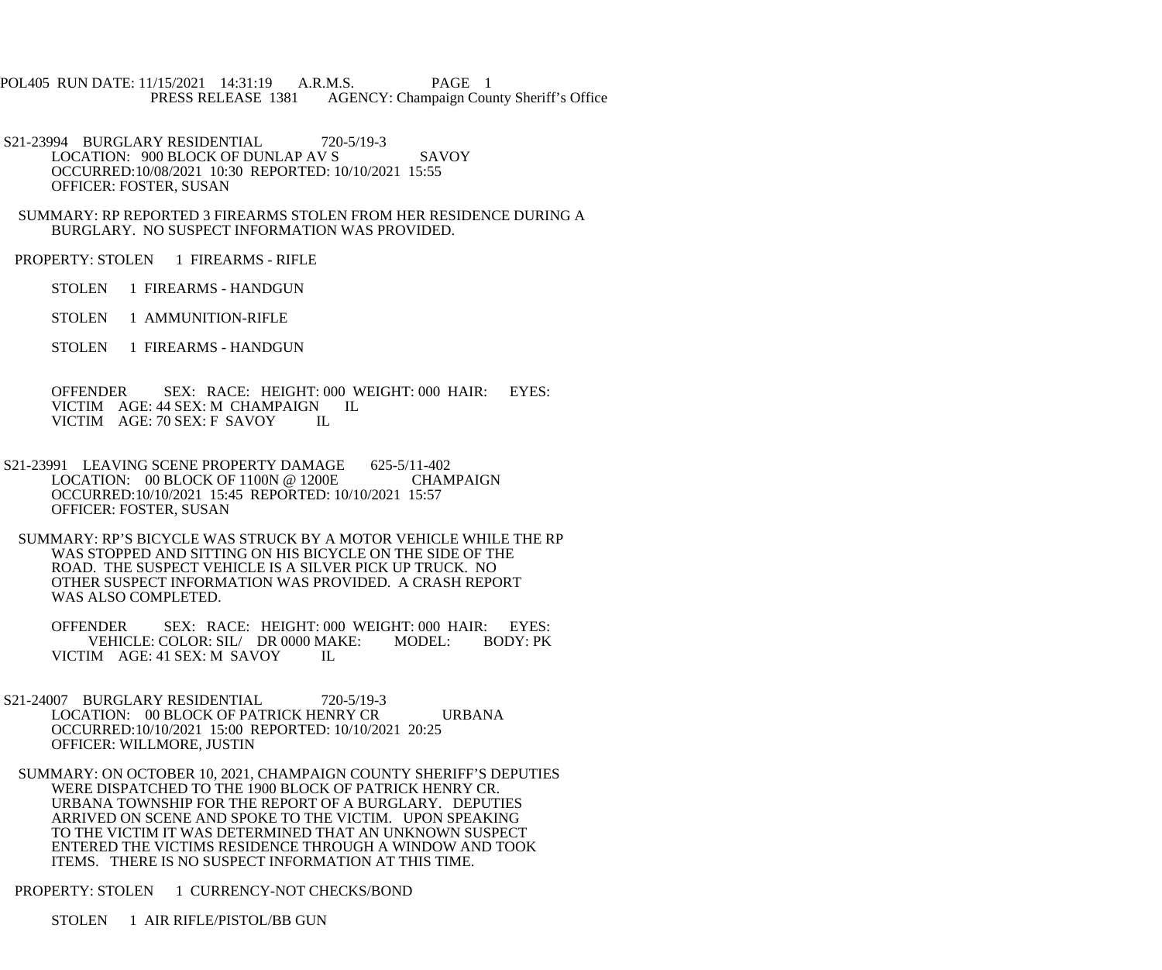POL405 RUN DATE: 11/15/2021 14:31:19 A.R.M.S. PAGE 1<br>PRESS RELEASE 1381 AGENCY: Champaign Cou AGENCY: Champaign County Sheriff's Office

S21-23994 BURGLARY RESIDENTIAL 720-5/19-3 LOCATION: 900 BLOCK OF DUNLAP AV S SAVOY OCCURRED:10/08/2021 10:30 REPORTED: 10/10/2021 15:55 OFFICER: FOSTER, SUSAN

 SUMMARY: RP REPORTED 3 FIREARMS STOLEN FROM HER RESIDENCE DURING A BURGLARY. NO SUSPECT INFORMATION WAS PROVIDED.

PROPERTY: STOLEN 1 FIREARMS - RIFLE

STOLEN 1 FIREARMS - HANDGUN

STOLEN 1 AMMUNITION-RIFLE

STOLEN 1 FIREARMS - HANDGUN

 OFFENDER SEX: RACE: HEIGHT: 000 WEIGHT: 000 HAIR: EYES: VICTIM AGE: 44 SEX: M CHAMPAIGN IL VICTIM AGE: 70 SEX: F SAVOY IL

S21-23991 LEAVING SCENE PROPERTY DAMAGE 625-5/11-402 LOCATION: 00 BLOCK OF 1100N @ 1200E CHAMPAIGN OCCURRED:10/10/2021 15:45 REPORTED: 10/10/2021 15:57 OFFICER: FOSTER, SUSAN

 SUMMARY: RP'S BICYCLE WAS STRUCK BY A MOTOR VEHICLE WHILE THE RP WAS STOPPED AND SITTING ON HIS BICYCLE ON THE SIDE OF THE ROAD. THE SUSPECT VEHICLE IS A SILVER PICK UP TRUCK. NO OTHER SUSPECT INFORMATION WAS PROVIDED. A CRASH REPORT WAS ALSO COMPLETED.

OFFENDER SEX: RACE: HEIGHT: 000 WEIGHT: 000 HAIR: EYES:<br>VEHICLE: COLOR: SIL/ DR 0000 MAKE: MODEL: BODY: PK VEHICLE: COLOR: SIL/ DR 0000 MAKE: VICTIM AGE: 41 SEX: M SAVOY IL

- S21-24007 BURGLARY RESIDENTIAL 720-5/19-3 LOCATION: 00 BLOCK OF PATRICK HENRY CR URBANA OCCURRED:10/10/2021 15:00 REPORTED: 10/10/2021 20:25 OFFICER: WILLMORE, JUSTIN
	- SUMMARY: ON OCTOBER 10, 2021, CHAMPAIGN COUNTY SHERIFF'S DEPUTIES WERE DISPATCHED TO THE 1900 BLOCK OF PATRICK HENRY CR. URBANA TOWNSHIP FOR THE REPORT OF A BURGLARY. DEPUTIES ARRIVED ON SCENE AND SPOKE TO THE VICTIM. UPON SPEAKING TO THE VICTIM IT WAS DETERMINED THAT AN UNKNOWN SUSPECT ENTERED THE VICTIMS RESIDENCE THROUGH A WINDOW AND TOOK ITEMS. THERE IS NO SUSPECT INFORMATION AT THIS TIME.

PROPERTY: STOLEN 1 CURRENCY-NOT CHECKS/BOND

STOLEN 1 AIR RIFLE/PISTOL/BB GUN